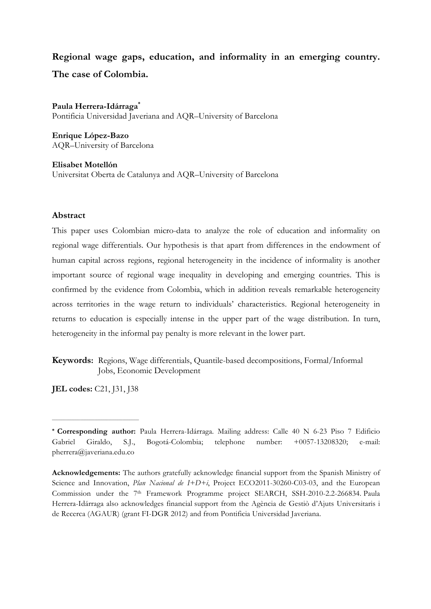# **Regional wage gaps, education, and informality in an emerging country. The case of Colombia.**

**Paula Herrera-Idárraga\*** Pontificia Universidad Javeriana and AQR–University of Barcelona

**Enrique López-Bazo** AQR–University of Barcelona

**Elisabet Motellón** Universitat Oberta de Catalunya and AQR–University of Barcelona

## **Abstract**

This paper uses Colombian micro-data to analyze the role of education and informality on regional wage differentials. Our hypothesis is that apart from differences in the endowment of human capital across regions, regional heterogeneity in the incidence of informality is another important source of regional wage inequality in developing and emerging countries. This is confirmed by the evidence from Colombia, which in addition reveals remarkable heterogeneity across territories in the wage return to individuals' characteristics. Regional heterogeneity in returns to education is especially intense in the upper part of the wage distribution. In turn, heterogeneity in the informal pay penalty is more relevant in the lower part.

**Keywords:** Regions, Wage differentials, Quantile-based decompositions, Formal/Informal Jobs, Economic Development

**JEL codes:** C21, J31, J38

**\_\_\_\_\_\_\_\_\_\_\_\_\_\_\_\_\_\_\_\_\_\_\_\_\_\_\_\_\_\_\_\_\_\_\_\_\_**

**<sup>\*</sup> Corresponding author:** Paula Herrera-Idárraga. Mailing address: Calle 40 N 6-23 Piso 7 Edificio Gabriel Giraldo, S.J., Bogotá-Colombia; telephone number: +0057-13208320; e-mail: pherrera@javeriana.edu.co

**Acknowledgements:** The authors gratefully acknowledge financial support from the Spanish Ministry of Science and Innovation, *Plan Nacional de I+D+i*, Project ECO2011-30260-C03-03, and the European Commission under the 7<sup>th</sup> Framework Programme project SEARCH, SSH-2010-2.2-266834. Paula Herrera-Idárraga also acknowledges financial support from the Agència de Gestiò d'Ajuts Universitaris i de Recerca (AGAUR) (grant FI-DGR 2012) and from Pontificia Universidad Javeriana.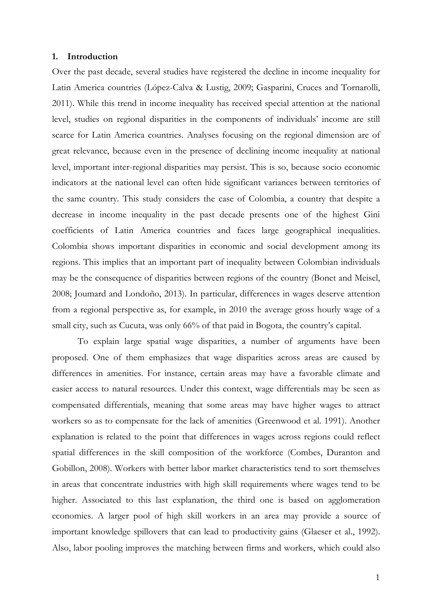#### **1. Introduction**

Over the past decade, several studies have registered the decline in income inequality for Latin America countries (López-Calva & Lustig, 2009; Gasparini, Cruces and Tornarolli, 2011). While this trend in income inequality has received special attention at the national level, studies on regional disparities in the components of individuals' income are still scarce for Latin America countries. Analyses focusing on the regional dimension are of great relevance, because even in the presence of declining income inequality at national level, important inter-regional disparities may persist. This is so, because socio economic indicators at the national level can often hide significant variances between territories of the same country. This study considers the case of Colombia, a country that despite a decrease in income inequality in the past decade presents one of the highest Gini coefficients of Latin America countries and faces large geographical inequalities. Colombia shows important disparities in economic and social development among its regions. This implies that an important part of inequality between Colombian individuals may be the consequence of disparities between regions of the country (Bonet and Meisel, 2008; Joumard and Londoño, 2013). In particular, differences in wages deserve attention from a regional perspective as, for example, in 2010 the average gross hourly wage of a small city, such as Cucuta, was only 66% of that paid in Bogota, the country's capital.

To explain large spatial wage disparities, a number of arguments have been proposed. One of them emphasizes that wage disparities across areas are caused by differences in amenities. For instance, certain areas may have a favorable climate and easier access to natural resources. Under this context, wage differentials may be seen as compensated differentials, meaning that some areas may have higher wages to attract workers so as to compensate for the lack of amenities (Greenwood et al. 1991). Another explanation is related to the point that differences in wages across regions could reflect spatial differences in the skill composition of the workforce (Combes, Duranton and Gobillon, 2008). Workers with better labor market characteristics tend to sort themselves in areas that concentrate industries with high skill requirements where wages tend to be higher. Associated to this last explanation, the third one is based on agglomeration economies. A larger pool of high skill workers in an area may provide a source of important knowledge spillovers that can lead to productivity gains (Glaeser et al., 1992). Also, labor pooling improves the matching between firms and workers, which could also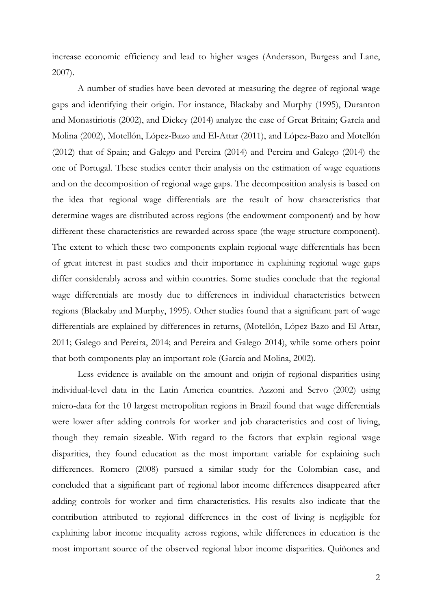increase economic efficiency and lead to higher wages (Andersson, Burgess and Lane, 2007).

A number of studies have been devoted at measuring the degree of regional wage gaps and identifying their origin. For instance, Blackaby and Murphy (1995), Duranton and Monastiriotis (2002), and Dickey (2014) analyze the case of Great Britain; García and Molina (2002), Motellón, López-Bazo and El-Attar (2011), and López-Bazo and Motellón (2012) that of Spain; and Galego and Pereira (2014) and Pereira and Galego (2014) the one of Portugal. These studies center their analysis on the estimation of wage equations and on the decomposition of regional wage gaps. The decomposition analysis is based on the idea that regional wage differentials are the result of how characteristics that determine wages are distributed across regions (the endowment component) and by how different these characteristics are rewarded across space (the wage structure component). The extent to which these two components explain regional wage differentials has been of great interest in past studies and their importance in explaining regional wage gaps differ considerably across and within countries. Some studies conclude that the regional wage differentials are mostly due to differences in individual characteristics between regions (Blackaby and Murphy, 1995). Other studies found that a significant part of wage differentials are explained by differences in returns, (Motellón, López-Bazo and El-Attar, 2011; Galego and Pereira, 2014; and Pereira and Galego 2014), while some others point that both components play an important role (García and Molina, 2002).

Less evidence is available on the amount and origin of regional disparities using individual-level data in the Latin America countries. Azzoni and Servo (2002) using micro-data for the 10 largest metropolitan regions in Brazil found that wage differentials were lower after adding controls for worker and job characteristics and cost of living, though they remain sizeable. With regard to the factors that explain regional wage disparities, they found education as the most important variable for explaining such differences. Romero (2008) pursued a similar study for the Colombian case, and concluded that a significant part of regional labor income differences disappeared after adding controls for worker and firm characteristics. His results also indicate that the contribution attributed to regional differences in the cost of living is negligible for explaining labor income inequality across regions, while differences in education is the most important source of the observed regional labor income disparities. Quiñones and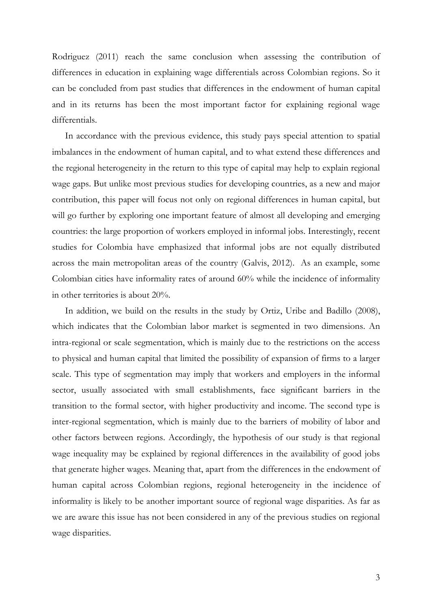Rodriguez (2011) reach the same conclusion when assessing the contribution of differences in education in explaining wage differentials across Colombian regions. So it can be concluded from past studies that differences in the endowment of human capital and in its returns has been the most important factor for explaining regional wage differentials.

In accordance with the previous evidence, this study pays special attention to spatial imbalances in the endowment of human capital, and to what extend these differences and the regional heterogeneity in the return to this type of capital may help to explain regional wage gaps. But unlike most previous studies for developing countries, as a new and major contribution, this paper will focus not only on regional differences in human capital, but will go further by exploring one important feature of almost all developing and emerging countries: the large proportion of workers employed in informal jobs. Interestingly, recent studies for Colombia have emphasized that informal jobs are not equally distributed across the main metropolitan areas of the country (Galvis, 2012). As an example, some Colombian cities have informality rates of around 60% while the incidence of informality in other territories is about 20%.

In addition, we build on the results in the study by Ortiz, Uribe and Badillo (2008), which indicates that the Colombian labor market is segmented in two dimensions. An intra-regional or scale segmentation, which is mainly due to the restrictions on the access to physical and human capital that limited the possibility of expansion of firms to a larger scale. This type of segmentation may imply that workers and employers in the informal sector, usually associated with small establishments, face significant barriers in the transition to the formal sector, with higher productivity and income. The second type is inter-regional segmentation, which is mainly due to the barriers of mobility of labor and other factors between regions. Accordingly, the hypothesis of our study is that regional wage inequality may be explained by regional differences in the availability of good jobs that generate higher wages. Meaning that, apart from the differences in the endowment of human capital across Colombian regions, regional heterogeneity in the incidence of informality is likely to be another important source of regional wage disparities. As far as we are aware this issue has not been considered in any of the previous studies on regional wage disparities.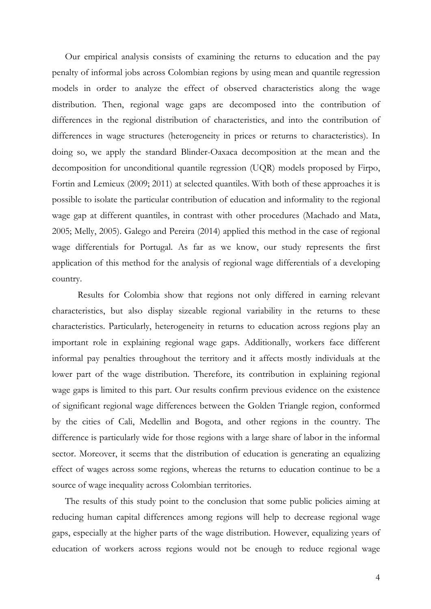Our empirical analysis consists of examining the returns to education and the pay penalty of informal jobs across Colombian regions by using mean and quantile regression models in order to analyze the effect of observed characteristics along the wage distribution. Then, regional wage gaps are decomposed into the contribution of differences in the regional distribution of characteristics, and into the contribution of differences in wage structures (heterogeneity in prices or returns to characteristics). In doing so, we apply the standard Blinder-Oaxaca decomposition at the mean and the decomposition for unconditional quantile regression (UQR) models proposed by Firpo, Fortin and Lemieux (2009; 2011) at selected quantiles. With both of these approaches it is possible to isolate the particular contribution of education and informality to the regional wage gap at different quantiles, in contrast with other procedures (Machado and Mata, 2005; Melly, 2005). Galego and Pereira (2014) applied this method in the case of regional wage differentials for Portugal. As far as we know, our study represents the first application of this method for the analysis of regional wage differentials of a developing country.

Results for Colombia show that regions not only differed in earning relevant characteristics, but also display sizeable regional variability in the returns to these characteristics. Particularly, heterogeneity in returns to education across regions play an important role in explaining regional wage gaps. Additionally, workers face different informal pay penalties throughout the territory and it affects mostly individuals at the lower part of the wage distribution. Therefore, its contribution in explaining regional wage gaps is limited to this part. Our results confirm previous evidence on the existence of significant regional wage differences between the Golden Triangle region, conformed by the cities of Cali, Medellin and Bogota, and other regions in the country. The difference is particularly wide for those regions with a large share of labor in the informal sector. Moreover, it seems that the distribution of education is generating an equalizing effect of wages across some regions, whereas the returns to education continue to be a source of wage inequality across Colombian territories.

The results of this study point to the conclusion that some public policies aiming at reducing human capital differences among regions will help to decrease regional wage gaps, especially at the higher parts of the wage distribution. However, equalizing years of education of workers across regions would not be enough to reduce regional wage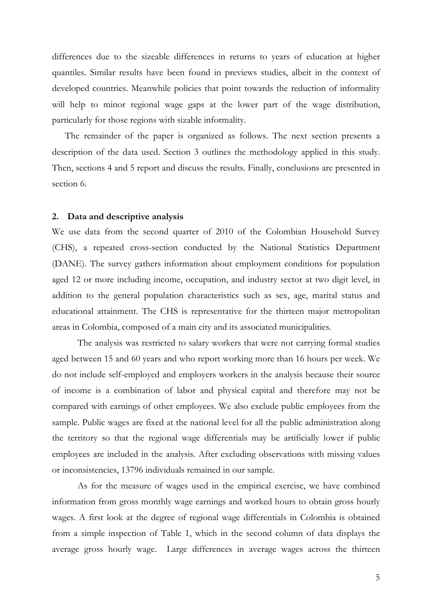differences due to the sizeable differences in returns to years of education at higher quantiles. Similar results have been found in previews studies, albeit in the context of developed countries. Meanwhile policies that point towards the reduction of informality will help to minor regional wage gaps at the lower part of the wage distribution, particularly for those regions with sizable informality.

The remainder of the paper is organized as follows. The next section presents a description of the data used. Section 3 outlines the methodology applied in this study. Then, sections 4 and 5 report and discuss the results. Finally, conclusions are presented in section 6.

### **2. Data and descriptive analysis**

We use data from the second quarter of 2010 of the Colombian Household Survey (CHS), a repeated cross-section conducted by the National Statistics Department (DANE). The survey gathers information about employment conditions for population aged 12 or more including income, occupation, and industry sector at two digit level, in addition to the general population characteristics such as sex, age, marital status and educational attainment. The CHS is representative for the thirteen major metropolitan areas in Colombia, composed of a main city and its associated municipalities.

The analysis was restricted to salary workers that were not carrying formal studies aged between 15 and 60 years and who report working more than 16 hours per week. We do not include self-employed and employers workers in the analysis because their source of income is a combination of labor and physical capital and therefore may not be compared with earnings of other employees. We also exclude public employees from the sample. Public wages are fixed at the national level for all the public administration along the territory so that the regional wage differentials may be artificially lower if public employees are included in the analysis. After excluding observations with missing values or inconsistencies, 13796 individuals remained in our sample.

As for the measure of wages used in the empirical exercise, we have combined information from gross monthly wage earnings and worked hours to obtain gross hourly wages. A first look at the degree of regional wage differentials in Colombia is obtained from a simple inspection of Table 1, which in the second column of data displays the average gross hourly wage. Large differences in average wages across the thirteen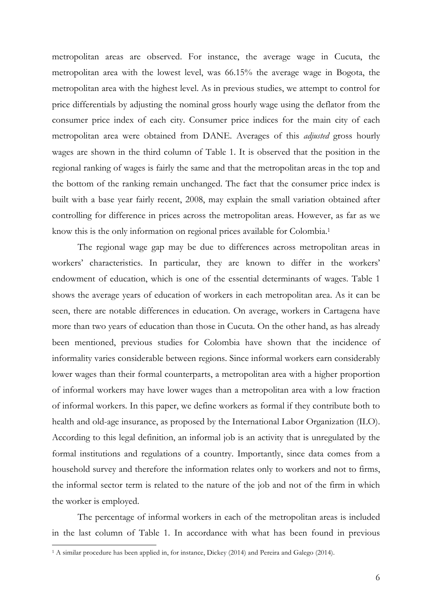metropolitan areas are observed. For instance, the average wage in Cucuta, the metropolitan area with the lowest level, was 66.15% the average wage in Bogota, the metropolitan area with the highest level. As in previous studies, we attempt to control for price differentials by adjusting the nominal gross hourly wage using the deflator from the consumer price index of each city. Consumer price indices for the main city of each metropolitan area were obtained from DANE. Averages of this *adjusted* gross hourly wages are shown in the third column of Table 1. It is observed that the position in the regional ranking of wages is fairly the same and that the metropolitan areas in the top and the bottom of the ranking remain unchanged. The fact that the consumer price index is built with a base year fairly recent, 2008, may explain the small variation obtained after controlling for difference in prices across the metropolitan areas. However, as far as we know this is the only information on regional prices available for Colombia.1

The regional wage gap may be due to differences across metropolitan areas in workers' characteristics. In particular, they are known to differ in the workers' endowment of education, which is one of the essential determinants of wages. Table 1 shows the average years of education of workers in each metropolitan area. As it can be seen, there are notable differences in education. On average, workers in Cartagena have more than two years of education than those in Cucuta. On the other hand, as has already been mentioned, previous studies for Colombia have shown that the incidence of informality varies considerable between regions. Since informal workers earn considerably lower wages than their formal counterparts, a metropolitan area with a higher proportion of informal workers may have lower wages than a metropolitan area with a low fraction of informal workers. In this paper, we define workers as formal if they contribute both to health and old-age insurance, as proposed by the International Labor Organization (ILO). According to this legal definition, an informal job is an activity that is unregulated by the formal institutions and regulations of a country. Importantly, since data comes from a household survey and therefore the information relates only to workers and not to firms, the informal sector term is related to the nature of the job and not of the firm in which the worker is employed.

The percentage of informal workers in each of the metropolitan areas is included in the last column of Table 1. In accordance with what has been found in previous

<sup>1</sup> A similar procedure has been applied in, for instance, Dickey (2014) and Pereira and Galego (2014).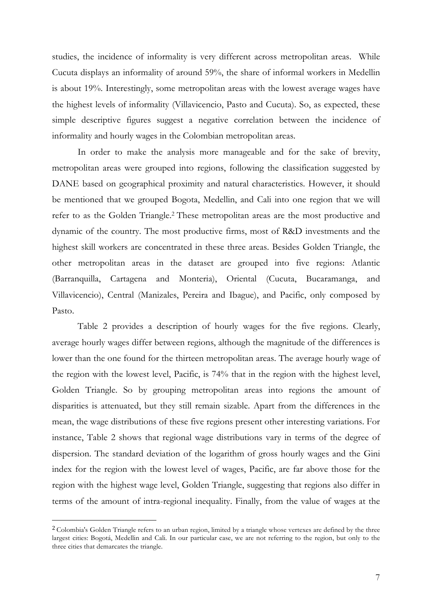studies, the incidence of informality is very different across metropolitan areas. While Cucuta displays an informality of around 59%, the share of informal workers in Medellin is about 19%. Interestingly, some metropolitan areas with the lowest average wages have the highest levels of informality (Villavicencio, Pasto and Cucuta). So, as expected, these simple descriptive figures suggest a negative correlation between the incidence of informality and hourly wages in the Colombian metropolitan areas.

In order to make the analysis more manageable and for the sake of brevity, metropolitan areas were grouped into regions, following the classification suggested by DANE based on geographical proximity and natural characteristics. However, it should be mentioned that we grouped Bogota, Medellin, and Cali into one region that we will refer to as the Golden Triangle. <sup>2</sup> These metropolitan areas are the most productive and dynamic of the country. The most productive firms, most of R&D investments and the highest skill workers are concentrated in these three areas. Besides Golden Triangle, the other metropolitan areas in the dataset are grouped into five regions: Atlantic (Barranquilla, Cartagena and Monteria), Oriental (Cucuta, Bucaramanga, and Villavicencio), Central (Manizales, Pereira and Ibague), and Pacific, only composed by Pasto.

Table 2 provides a description of hourly wages for the five regions. Clearly, average hourly wages differ between regions, although the magnitude of the differences is lower than the one found for the thirteen metropolitan areas. The average hourly wage of the region with the lowest level, Pacific, is 74% that in the region with the highest level, Golden Triangle. So by grouping metropolitan areas into regions the amount of disparities is attenuated, but they still remain sizable. Apart from the differences in the mean, the wage distributions of these five regions present other interesting variations. For instance, Table 2 shows that regional wage distributions vary in terms of the degree of dispersion. The standard deviation of the logarithm of gross hourly wages and the Gini index for the region with the lowest level of wages, Pacific, are far above those for the region with the highest wage level, Golden Triangle, suggesting that regions also differ in terms of the amount of intra-regional inequality. Finally, from the value of wages at the

<sup>2</sup> Colombia's Golden Triangle refers to an urban region, limited by a triangle whose vertexes are defined by the three largest cities: Bogotá, Medellin and Cali. In our particular case, we are not referring to the region, but only to the three cities that demarcates the triangle.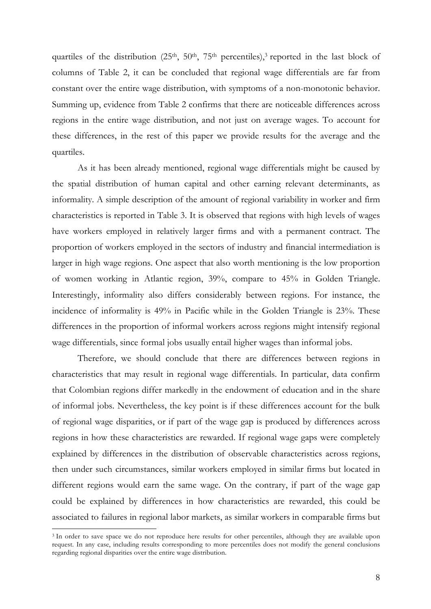quartiles of the distribution  $(25<sup>th</sup>, 50<sup>th</sup>, 75<sup>th</sup>$  percentiles),<sup>3</sup> reported in the last block of columns of Table 2, it can be concluded that regional wage differentials are far from constant over the entire wage distribution, with symptoms of a non-monotonic behavior. Summing up, evidence from Table 2 confirms that there are noticeable differences across regions in the entire wage distribution, and not just on average wages. To account for these differences, in the rest of this paper we provide results for the average and the quartiles.

As it has been already mentioned, regional wage differentials might be caused by the spatial distribution of human capital and other earning relevant determinants, as informality. A simple description of the amount of regional variability in worker and firm characteristics is reported in Table 3. It is observed that regions with high levels of wages have workers employed in relatively larger firms and with a permanent contract. The proportion of workers employed in the sectors of industry and financial intermediation is larger in high wage regions. One aspect that also worth mentioning is the low proportion of women working in Atlantic region, 39%, compare to 45% in Golden Triangle. Interestingly, informality also differs considerably between regions. For instance, the incidence of informality is 49% in Pacific while in the Golden Triangle is 23%. These differences in the proportion of informal workers across regions might intensify regional wage differentials, since formal jobs usually entail higher wages than informal jobs.

Therefore, we should conclude that there are differences between regions in characteristics that may result in regional wage differentials. In particular, data confirm that Colombian regions differ markedly in the endowment of education and in the share of informal jobs. Nevertheless, the key point is if these differences account for the bulk of regional wage disparities, or if part of the wage gap is produced by differences across regions in how these characteristics are rewarded. If regional wage gaps were completely explained by differences in the distribution of observable characteristics across regions, then under such circumstances, similar workers employed in similar firms but located in different regions would earn the same wage. On the contrary, if part of the wage gap could be explained by differences in how characteristics are rewarded, this could be associated to failures in regional labor markets, as similar workers in comparable firms but

<sup>&</sup>lt;sup>3</sup> In order to save space we do not reproduce here results for other percentiles, although they are available upon request. In any case, including results corresponding to more percentiles does not modify the general conclusions regarding regional disparities over the entire wage distribution.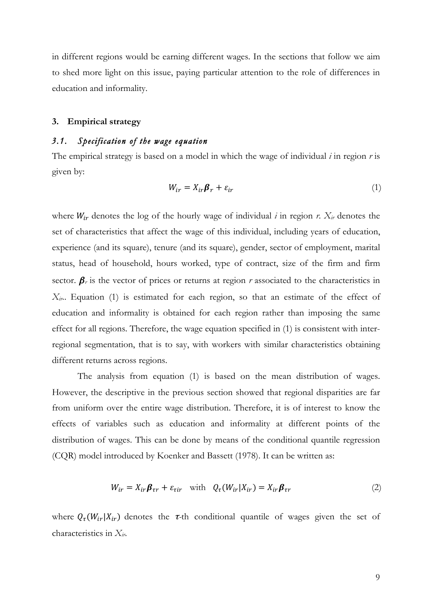in different regions would be earning different wages. In the sections that follow we aim to shed more light on this issue, paying particular attention to the role of differences in education and informality.

#### **3. Empirical strategy**

# *3.1. Specification of the wage equation*

The empirical strategy is based on a model in which the wage of individual *i* in region *r* is given by:

$$
W_{ir} = X_{ir} \beta_r + \varepsilon_{ir} \tag{1}
$$

where  $W_{ir}$  denotes the log of the hourly wage of individual *i* in region *r*.  $X_{ir}$  denotes the set of characteristics that affect the wage of this individual, including years of education, experience (and its square), tenure (and its square), gender, sector of employment, marital status, head of household, hours worked, type of contract, size of the firm and firm sector.  $\beta_r$  is the vector of prices or returns at region *r* associated to the characteristics in *Xir*.. Equation (1) is estimated for each region, so that an estimate of the effect of education and informality is obtained for each region rather than imposing the same effect for all regions. Therefore, the wage equation specified in (1) is consistent with interregional segmentation, that is to say, with workers with similar characteristics obtaining different returns across regions.

The analysis from equation (1) is based on the mean distribution of wages. However, the descriptive in the previous section showed that regional disparities are far from uniform over the entire wage distribution. Therefore, it is of interest to know the effects of variables such as education and informality at different points of the distribution of wages. This can be done by means of the conditional quantile regression (CQR) model introduced by Koenker and Bassett (1978). It can be written as:

$$
W_{ir} = X_{ir} \beta_{\tau r} + \varepsilon_{\tau ir} \quad \text{with} \quad Q_{\tau}(W_{ir} | X_{ir}) = X_{ir} \beta_{\tau r} \tag{2}
$$

where  $Q_{\tau}(W_{ir}|X_{ir})$  denotes the  $\tau$ -th conditional quantile of wages given the set of characteristics in *Xir*.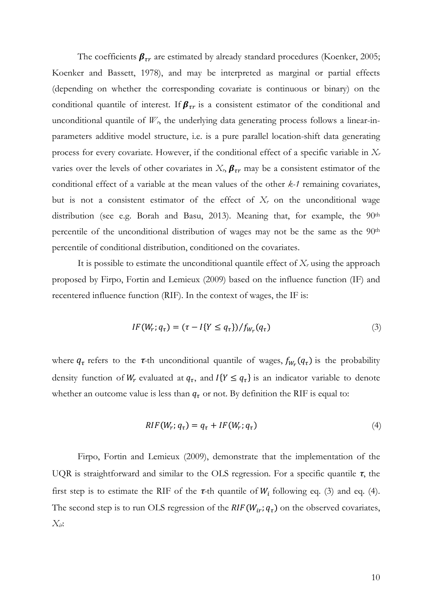The coefficients  $\beta_{rr}$  are estimated by already standard procedures (Koenker, 2005; Koenker and Bassett, 1978), and may be interpreted as marginal or partial effects (depending on whether the corresponding covariate is continuous or binary) on the conditional quantile of interest. If  $\beta_{\tau r}$  is a consistent estimator of the conditional and unconditional quantile of  $W_r$ , the underlying data generating process follows a linear-inparameters additive model structure, i.e. is a pure parallel location-shift data generating process for every covariate. However, if the conditional effect of a specific variable in *Xr* varies over the levels of other covariates in  $X_r$ ,  $\beta_{rr}$  may be a consistent estimator of the conditional effect of a variable at the mean values of the other *k-1* remaining covariates, but is not a consistent estimator of the effect of  $X_r$  on the unconditional wage distribution (see e.g. Borah and Basu, 2013). Meaning that, for example, the 90<sup>th</sup> percentile of the unconditional distribution of wages may not be the same as the 90<sup>th</sup> percentile of conditional distribution, conditioned on the covariates.

It is possible to estimate the unconditional quantile effect of *Xr* using the approach proposed by Firpo, Fortin and Lemieux (2009) based on the influence function (IF) and recentered influence function (RIF). In the context of wages, the IF is:

$$
IF(W_r; q_\tau) = (\tau - I\{Y \le q_\tau\}) / f_{W_r}(q_\tau)
$$
\n(3)

where  $q_{\tau}$  refers to the  $\tau$ -th unconditional quantile of wages,  $f_{W_{\tau}}(q_{\tau})$  is the probability density function of  $W_r$  evaluated at  $q_\tau$ , and  $I\{Y \leq q_\tau\}$  is an indicator variable to denote whether an outcome value is less than  $q<sub>\tau</sub>$  or not. By definition the RIF is equal to:

$$
RIF(W_r; q_\tau) = q_\tau + IF(W_r; q_\tau)
$$
\n<sup>(4)</sup>

Firpo, Fortin and Lemieux (2009), demonstrate that the implementation of the UQR is straightforward and similar to the OLS regression. For a specific quantile  $\tau$ , the first step is to estimate the RIF of the  $\tau$ -th quantile of  $W_i$  following eq. (3) and eq. (4). The second step is to run OLS regression of the  $RIF(W_{ir}; q<sub>\tau</sub>)$  on the observed covariates, *Xir*: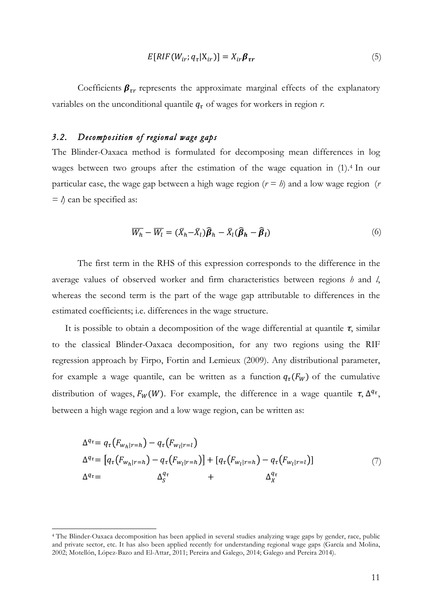$$
E[RIF(W_{ir}; q_{\tau} | X_{ir})] = X_{ir} \beta_{\tau r}
$$
\n<sup>(5)</sup>

Coefficients  $\beta_{\tau r}$  represents the approximate marginal effects of the explanatory variables on the unconditional quantile  $q<sub>\tau</sub>$  of wages for workers in region *r*.

## *3.2. Decomposition of regional wage gaps*

 

The Blinder-Oaxaca method is formulated for decomposing mean differences in log wages between two groups after the estimation of the wage equation in (1).4 In our particular case, the wage gap between a high wage region  $(r = h)$  and a low wage region  $(r \cdot r)$  $=$   $\lambda$  can be specified as:

$$
\overline{W_h} - \overline{W_l} = (\overline{X}_h - \overline{X}_l)\widehat{\boldsymbol{\beta}}_h - \overline{X}_l(\widehat{\boldsymbol{\beta}}_h - \widehat{\boldsymbol{\beta}}_l)
$$
(6)

The first term in the RHS of this expression corresponds to the difference in the average values of observed worker and firm characteristics between regions *h* and *l*, whereas the second term is the part of the wage gap attributable to differences in the estimated coefficients; i.e. differences in the wage structure.

It is possible to obtain a decomposition of the wage differential at quantile  $\tau$ , similar to the classical Blinder-Oaxaca decomposition, for any two regions using the RIF regression approach by Firpo, Fortin and Lemieux (2009). Any distributional parameter, for example a wage quantile, can be written as a function  $q_{\tau}(F_W)$  of the cumulative distribution of wages,  $F_W(W)$ . For example, the difference in a wage quantile  $\tau$ ,  $\Delta^{q_{\tau}}$ , between a high wage region and a low wage region, can be written as:

$$
\Delta^{q_{\tau}} = q_{\tau}(F_{w_h|r=h}) - q_{\tau}(F_{w_l|r=l})
$$
  
\n
$$
\Delta^{q_{\tau}} = [q_{\tau}(F_{w_h|r=h}) - q_{\tau}(F_{w_l|r=h})] + [q_{\tau}(F_{w_l|r=h}) - q_{\tau}(F_{w_l|r=l})]
$$
  
\n
$$
\Delta^{q_{\tau}} = \Delta^{q_{\tau}}_{S} + \Delta^{q_{\tau}}_{X}
$$
\n(7)

<sup>4</sup> The Blinder-Oaxaca decomposition has been applied in several studies analyzing wage gaps by gender, race, public and private sector, etc. It has also been applied recently for understanding regional wage gaps (García and Molina, 2002; Motellón, López-Bazo and El-Attar, 2011; Pereira and Galego, 2014; Galego and Pereira 2014).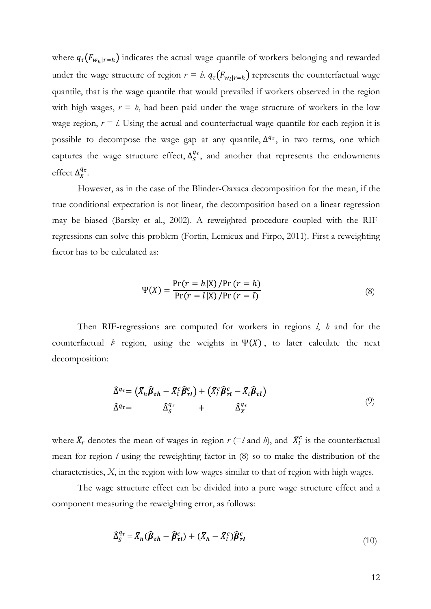where  $q_{\tau}(F_{w_h|r=h})$  indicates the actual wage quantile of workers belonging and rewarded under the wage structure of region  $r = h$ .  $q_r(F_{w_l|r=h})$  represents the counterfactual wage quantile, that is the wage quantile that would prevailed if workers observed in the region with high wages,  $r = h$ , had been paid under the wage structure of workers in the low wage region,  $r = l$ . Using the actual and counterfactual wage quantile for each region it is possible to decompose the wage gap at any quantile,  $\Delta^{q_{\tau}}$ , in two terms, one which captures the wage structure effect,  $\Delta_S^{q_\tau}$ , and another that represents the endowments effect  $\Delta_X^{q_\tau}$ .

However, as in the case of the Blinder-Oaxaca decomposition for the mean, if the true conditional expectation is not linear, the decomposition based on a linear regression may be biased (Barsky et al., 2002). A reweighted procedure coupled with the RIFregressions can solve this problem (Fortin, Lemieux and Firpo, 2011). First a reweighting factor has to be calculated as:

$$
\Psi(X) = \frac{\Pr(r = h|X) / \Pr(r = h)}{\Pr(r = l|X) / \Pr(r = l)}
$$
\n(8)

Then RIF-regressions are computed for workers in regions *l*, *h* and for the counterfactual  $\ell$  region, using the weights in  $\Psi(X)$ , to later calculate the next decomposition:

$$
\hat{\Delta}^{q_{\tau}} = (\bar{X}_{h} \hat{\beta}_{\tau h} - \bar{X}_{l}^{c} \hat{\beta}_{\tau l}^{c}) + (\bar{X}_{l}^{c} \hat{\beta}_{\tau l}^{c} - \bar{X}_{l} \hat{\beta}_{\tau l})
$$
\n
$$
\hat{\Delta}^{q_{\tau}} = \hat{\Delta}_{S}^{q_{\tau}} + \hat{\Delta}_{X}^{q_{\tau}}
$$
\n(9)

where  $\bar{X}_r$  denotes the mean of wages in region  $r$  (=*l* and *h*), and  $\bar{X}_l^c$  is the counterfactual mean for region *l* using the reweighting factor in (8) so to make the distribution of the characteristics, *X*, in the region with low wages similar to that of region with high wages.

The wage structure effect can be divided into a pure wage structure effect and a component measuring the reweighting error, as follows:

$$
\widehat{\Delta}_{S}^{q_{\tau}} = \overline{X}_{h}(\widehat{\boldsymbol{\beta}}_{\tau h} - \widehat{\boldsymbol{\beta}}_{\tau l}^{c}) + (\overline{X}_{h} - \overline{X}_{l}^{c})\widehat{\boldsymbol{\beta}}_{\tau l}^{c}
$$
\n(10)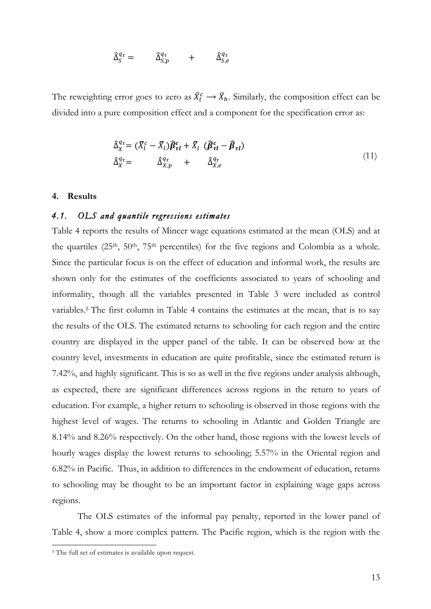$$
\hat{\Delta}_S^{q_{\tau}} = \qquad \hat{\Delta}_{S,p}^{q_{\tau}} \qquad + \qquad \hat{\Delta}_{S,e}^{q_{\tau}}
$$

The reweighting error goes to zero as  $\bar{X}_l^c \to \bar{X}_h$ . Similarly, the composition effect can be divided into a pure composition effect and a component for the specification error as:

$$
\widehat{\Delta}_{X}^{q_{\tau}} = (\overline{X}_{l}^{c} - \overline{X}_{l}) \widehat{\beta}_{\tau l}^{c} + \overline{X}_{l} (\widehat{\beta}_{\tau l}^{c} - \widehat{\beta}_{\tau l})
$$
\n
$$
\widehat{\Delta}_{X}^{q_{\tau}} = \widehat{\Delta}_{X,p}^{q_{\tau}} + \widehat{\Delta}_{X,e}^{q_{\tau}}
$$
\n(11)

## **4. Results**

## *4.1. OLS and quantile regressions estimates*

Table 4 reports the results of Mincer wage equations estimated at the mean (OLS) and at the quartiles  $(25<sup>th</sup>, 50<sup>th</sup>, 75<sup>th</sup>$  percentiles) for the five regions and Colombia as a whole. Since the particular focus is on the effect of education and informal work, the results are shown only for the estimates of the coefficients associated to years of schooling and informality, though all the variables presented in Table 3 were included as control variables. <sup>5</sup> The first column in Table 4 contains the estimates at the mean, that is to say the results of the OLS. The estimated returns to schooling for each region and the entire country are displayed in the upper panel of the table. It can be observed how at the country level, investments in education are quite profitable, since the estimated return is 7.42%, and highly significant. This is so as well in the five regions under analysis although, as expected, there are significant differences across regions in the return to years of education. For example, a higher return to schooling is observed in those regions with the highest level of wages. The returns to schooling in Atlantic and Golden Triangle are 8.14% and 8.26% respectively. On the other hand, those regions with the lowest levels of hourly wages display the lowest returns to schooling; 5.57% in the Oriental region and 6.82% in Pacific. Thus, in addition to differences in the endowment of education, returns to schooling may be thought to be an important factor in explaining wage gaps across regions.

The OLS estimates of the informal pay penalty, reported in the lower panel of Table 4, show a more complex pattern. The Pacific region, which is the region with the

<sup>&</sup>lt;sup>5</sup> The full set of estimates is available upon request.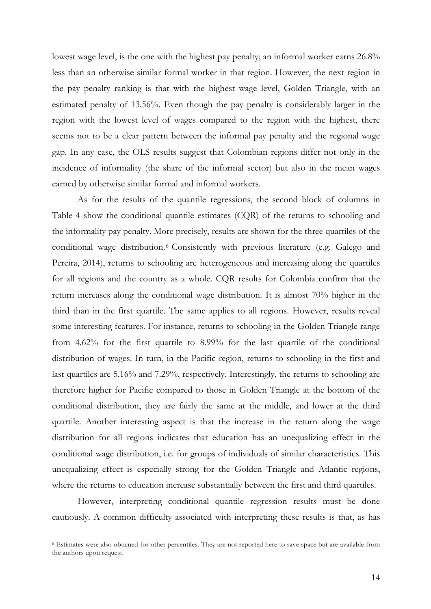lowest wage level, is the one with the highest pay penalty; an informal worker earns 26.8% less than an otherwise similar formal worker in that region. However, the next region in the pay penalty ranking is that with the highest wage level, Golden Triangle, with an estimated penalty of 13.56%. Even though the pay penalty is considerably larger in the region with the lowest level of wages compared to the region with the highest, there seems not to be a clear pattern between the informal pay penalty and the regional wage gap. In any case, the OLS results suggest that Colombian regions differ not only in the incidence of informality (the share of the informal sector) but also in the mean wages earned by otherwise similar formal and informal workers.

As for the results of the quantile regressions, the second block of columns in Table 4 show the conditional quantile estimates (CQR) of the returns to schooling and the informality pay penalty. More precisely, results are shown for the three quartiles of the conditional wage distribution.6 Consistently with previous literature (e.g. Galego and Pereira, 2014), returns to schooling are heterogeneous and increasing along the quartiles for all regions and the country as a whole. CQR results for Colombia confirm that the return increases along the conditional wage distribution. It is almost 70% higher in the third than in the first quartile. The same applies to all regions. However, results reveal some interesting features. For instance, returns to schooling in the Golden Triangle range from 4.62% for the first quartile to 8.99% for the last quartile of the conditional distribution of wages. In turn, in the Pacific region, returns to schooling in the first and last quartiles are 5.16% and 7.29%, respectively. Interestingly, the returns to schooling are therefore higher for Pacific compared to those in Golden Triangle at the bottom of the conditional distribution, they are fairly the same at the middle, and lower at the third quartile. Another interesting aspect is that the increase in the return along the wage distribution for all regions indicates that education has an unequalizing effect in the conditional wage distribution, i.e. for groups of individuals of similar characteristics. This unequalizing effect is especially strong for the Golden Triangle and Atlantic regions, where the returns to education increase substantially between the first and third quartiles.

However, interpreting conditional quantile regression results must be done cautiously. A common difficulty associated with interpreting these results is that, as has

<sup>6</sup> Estimates were also obtained for other percentiles. They are not reported here to save space but are available from the authors upon request.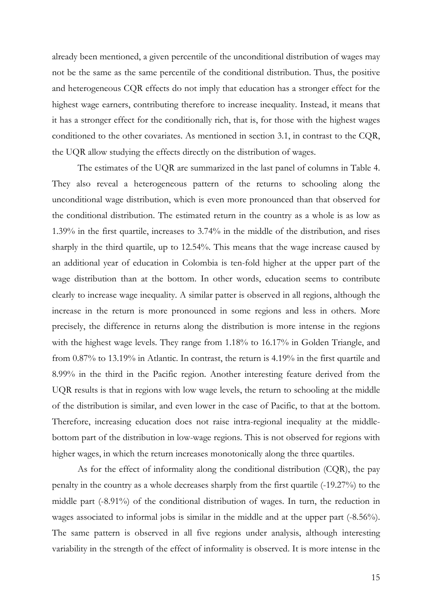already been mentioned, a given percentile of the unconditional distribution of wages may not be the same as the same percentile of the conditional distribution. Thus, the positive and heterogeneous CQR effects do not imply that education has a stronger effect for the highest wage earners, contributing therefore to increase inequality. Instead, it means that it has a stronger effect for the conditionally rich, that is, for those with the highest wages conditioned to the other covariates. As mentioned in section 3.1, in contrast to the CQR, the UQR allow studying the effects directly on the distribution of wages.

The estimates of the UQR are summarized in the last panel of columns in Table 4. They also reveal a heterogeneous pattern of the returns to schooling along the unconditional wage distribution, which is even more pronounced than that observed for the conditional distribution. The estimated return in the country as a whole is as low as 1.39% in the first quartile, increases to 3.74% in the middle of the distribution, and rises sharply in the third quartile, up to 12.54%. This means that the wage increase caused by an additional year of education in Colombia is ten-fold higher at the upper part of the wage distribution than at the bottom. In other words, education seems to contribute clearly to increase wage inequality. A similar patter is observed in all regions, although the increase in the return is more pronounced in some regions and less in others. More precisely, the difference in returns along the distribution is more intense in the regions with the highest wage levels. They range from 1.18% to 16.17% in Golden Triangle, and from 0.87% to 13.19% in Atlantic. In contrast, the return is 4.19% in the first quartile and 8.99% in the third in the Pacific region. Another interesting feature derived from the UQR results is that in regions with low wage levels, the return to schooling at the middle of the distribution is similar, and even lower in the case of Pacific, to that at the bottom. Therefore, increasing education does not raise intra-regional inequality at the middlebottom part of the distribution in low-wage regions. This is not observed for regions with higher wages, in which the return increases monotonically along the three quartiles.

As for the effect of informality along the conditional distribution (CQR), the pay penalty in the country as a whole decreases sharply from the first quartile (-19.27%) to the middle part (-8.91%) of the conditional distribution of wages. In turn, the reduction in wages associated to informal jobs is similar in the middle and at the upper part (-8.56%). The same pattern is observed in all five regions under analysis, although interesting variability in the strength of the effect of informality is observed. It is more intense in the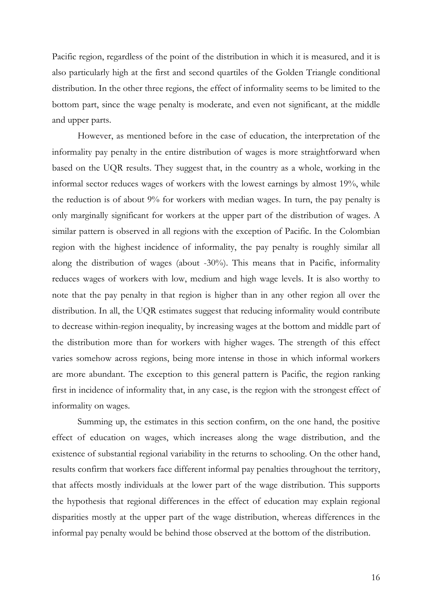Pacific region, regardless of the point of the distribution in which it is measured, and it is also particularly high at the first and second quartiles of the Golden Triangle conditional distribution. In the other three regions, the effect of informality seems to be limited to the bottom part, since the wage penalty is moderate, and even not significant, at the middle and upper parts.

However, as mentioned before in the case of education, the interpretation of the informality pay penalty in the entire distribution of wages is more straightforward when based on the UQR results. They suggest that, in the country as a whole, working in the informal sector reduces wages of workers with the lowest earnings by almost 19%, while the reduction is of about 9% for workers with median wages. In turn, the pay penalty is only marginally significant for workers at the upper part of the distribution of wages. A similar pattern is observed in all regions with the exception of Pacific. In the Colombian region with the highest incidence of informality, the pay penalty is roughly similar all along the distribution of wages (about -30%). This means that in Pacific, informality reduces wages of workers with low, medium and high wage levels. It is also worthy to note that the pay penalty in that region is higher than in any other region all over the distribution. In all, the UQR estimates suggest that reducing informality would contribute to decrease within-region inequality, by increasing wages at the bottom and middle part of the distribution more than for workers with higher wages. The strength of this effect varies somehow across regions, being more intense in those in which informal workers are more abundant. The exception to this general pattern is Pacific, the region ranking first in incidence of informality that, in any case, is the region with the strongest effect of informality on wages.

Summing up, the estimates in this section confirm, on the one hand, the positive effect of education on wages, which increases along the wage distribution, and the existence of substantial regional variability in the returns to schooling. On the other hand, results confirm that workers face different informal pay penalties throughout the territory, that affects mostly individuals at the lower part of the wage distribution. This supports the hypothesis that regional differences in the effect of education may explain regional disparities mostly at the upper part of the wage distribution, whereas differences in the informal pay penalty would be behind those observed at the bottom of the distribution.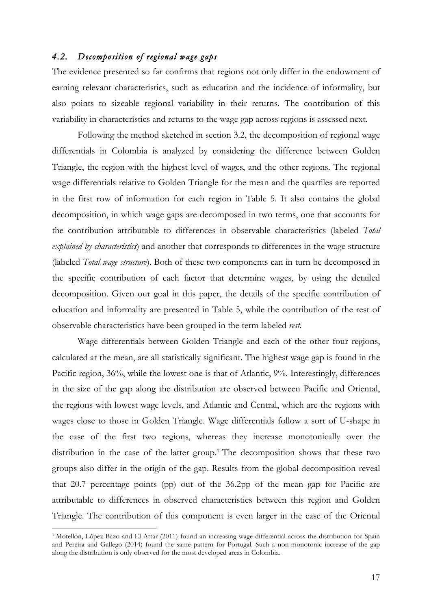# *4.2. Decomposition of regional wage gaps*

The evidence presented so far confirms that regions not only differ in the endowment of earning relevant characteristics, such as education and the incidence of informality, but also points to sizeable regional variability in their returns. The contribution of this variability in characteristics and returns to the wage gap across regions is assessed next.

Following the method sketched in section 3.2, the decomposition of regional wage differentials in Colombia is analyzed by considering the difference between Golden Triangle, the region with the highest level of wages, and the other regions. The regional wage differentials relative to Golden Triangle for the mean and the quartiles are reported in the first row of information for each region in Table 5. It also contains the global decomposition, in which wage gaps are decomposed in two terms, one that accounts for the contribution attributable to differences in observable characteristics (labeled *Total explained by characteristics*) and another that corresponds to differences in the wage structure (labeled *Total wage structure*). Both of these two components can in turn be decomposed in the specific contribution of each factor that determine wages, by using the detailed decomposition. Given our goal in this paper, the details of the specific contribution of education and informality are presented in Table 5, while the contribution of the rest of observable characteristics have been grouped in the term labeled *rest*.

Wage differentials between Golden Triangle and each of the other four regions, calculated at the mean, are all statistically significant. The highest wage gap is found in the Pacific region, 36%, while the lowest one is that of Atlantic, 9%. Interestingly, differences in the size of the gap along the distribution are observed between Pacific and Oriental, the regions with lowest wage levels, and Atlantic and Central, which are the regions with wages close to those in Golden Triangle. Wage differentials follow a sort of U-shape in the case of the first two regions, whereas they increase monotonically over the distribution in the case of the latter group.7 The decomposition shows that these two groups also differ in the origin of the gap. Results from the global decomposition reveal that 20.7 percentage points (pp) out of the 36.2pp of the mean gap for Pacific are attributable to differences in observed characteristics between this region and Golden Triangle. The contribution of this component is even larger in the case of the Oriental

<sup>7</sup> Motellón, López-Bazo and El-Attar (2011) found an increasing wage differential across the distribution for Spain and Pereira and Gallego (2014) found the same pattern for Portugal. Such a non-monotonic increase of the gap along the distribution is only observed for the most developed areas in Colombia.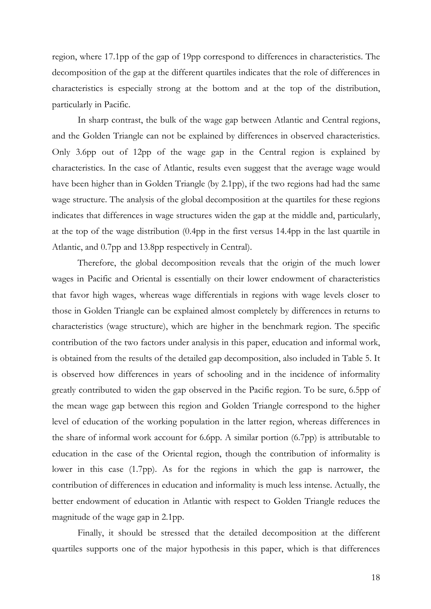region, where 17.1pp of the gap of 19pp correspond to differences in characteristics. The decomposition of the gap at the different quartiles indicates that the role of differences in characteristics is especially strong at the bottom and at the top of the distribution, particularly in Pacific.

In sharp contrast, the bulk of the wage gap between Atlantic and Central regions, and the Golden Triangle can not be explained by differences in observed characteristics. Only 3.6pp out of 12pp of the wage gap in the Central region is explained by characteristics. In the case of Atlantic, results even suggest that the average wage would have been higher than in Golden Triangle (by 2.1pp), if the two regions had had the same wage structure. The analysis of the global decomposition at the quartiles for these regions indicates that differences in wage structures widen the gap at the middle and, particularly, at the top of the wage distribution (0.4pp in the first versus 14.4pp in the last quartile in Atlantic, and 0.7pp and 13.8pp respectively in Central).

Therefore, the global decomposition reveals that the origin of the much lower wages in Pacific and Oriental is essentially on their lower endowment of characteristics that favor high wages, whereas wage differentials in regions with wage levels closer to those in Golden Triangle can be explained almost completely by differences in returns to characteristics (wage structure), which are higher in the benchmark region. The specific contribution of the two factors under analysis in this paper, education and informal work, is obtained from the results of the detailed gap decomposition, also included in Table 5. It is observed how differences in years of schooling and in the incidence of informality greatly contributed to widen the gap observed in the Pacific region. To be sure, 6.5pp of the mean wage gap between this region and Golden Triangle correspond to the higher level of education of the working population in the latter region, whereas differences in the share of informal work account for 6.6pp. A similar portion (6.7pp) is attributable to education in the case of the Oriental region, though the contribution of informality is lower in this case (1.7pp). As for the regions in which the gap is narrower, the contribution of differences in education and informality is much less intense. Actually, the better endowment of education in Atlantic with respect to Golden Triangle reduces the magnitude of the wage gap in 2.1pp.

Finally, it should be stressed that the detailed decomposition at the different quartiles supports one of the major hypothesis in this paper, which is that differences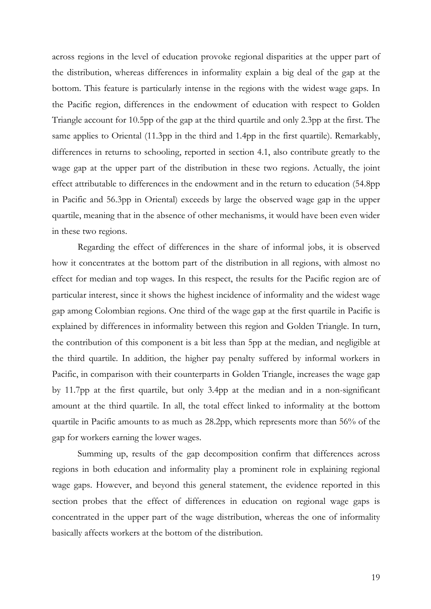across regions in the level of education provoke regional disparities at the upper part of the distribution, whereas differences in informality explain a big deal of the gap at the bottom. This feature is particularly intense in the regions with the widest wage gaps. In the Pacific region, differences in the endowment of education with respect to Golden Triangle account for 10.5pp of the gap at the third quartile and only 2.3pp at the first. The same applies to Oriental (11.3pp in the third and 1.4pp in the first quartile). Remarkably, differences in returns to schooling, reported in section 4.1, also contribute greatly to the wage gap at the upper part of the distribution in these two regions. Actually, the joint effect attributable to differences in the endowment and in the return to education (54.8pp in Pacific and 56.3pp in Oriental) exceeds by large the observed wage gap in the upper quartile, meaning that in the absence of other mechanisms, it would have been even wider in these two regions.

Regarding the effect of differences in the share of informal jobs, it is observed how it concentrates at the bottom part of the distribution in all regions, with almost no effect for median and top wages. In this respect, the results for the Pacific region are of particular interest, since it shows the highest incidence of informality and the widest wage gap among Colombian regions. One third of the wage gap at the first quartile in Pacific is explained by differences in informality between this region and Golden Triangle. In turn, the contribution of this component is a bit less than 5pp at the median, and negligible at the third quartile. In addition, the higher pay penalty suffered by informal workers in Pacific, in comparison with their counterparts in Golden Triangle, increases the wage gap by 11.7pp at the first quartile, but only 3.4pp at the median and in a non-significant amount at the third quartile. In all, the total effect linked to informality at the bottom quartile in Pacific amounts to as much as 28.2pp, which represents more than 56% of the gap for workers earning the lower wages.

Summing up, results of the gap decomposition confirm that differences across regions in both education and informality play a prominent role in explaining regional wage gaps. However, and beyond this general statement, the evidence reported in this section probes that the effect of differences in education on regional wage gaps is concentrated in the upper part of the wage distribution, whereas the one of informality basically affects workers at the bottom of the distribution.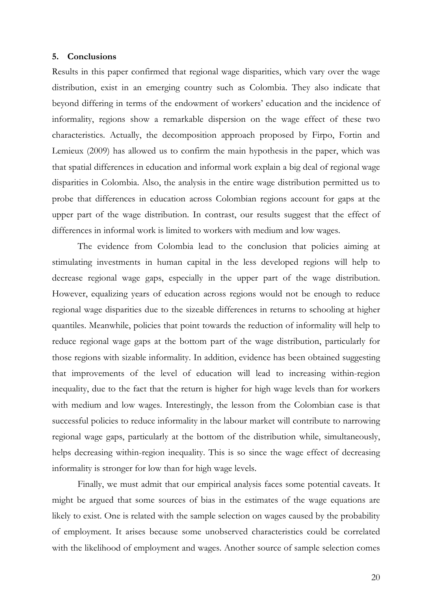### **5. Conclusions**

Results in this paper confirmed that regional wage disparities, which vary over the wage distribution, exist in an emerging country such as Colombia. They also indicate that beyond differing in terms of the endowment of workers' education and the incidence of informality, regions show a remarkable dispersion on the wage effect of these two characteristics. Actually, the decomposition approach proposed by Firpo, Fortin and Lemieux (2009) has allowed us to confirm the main hypothesis in the paper, which was that spatial differences in education and informal work explain a big deal of regional wage disparities in Colombia. Also, the analysis in the entire wage distribution permitted us to probe that differences in education across Colombian regions account for gaps at the upper part of the wage distribution. In contrast, our results suggest that the effect of differences in informal work is limited to workers with medium and low wages.

The evidence from Colombia lead to the conclusion that policies aiming at stimulating investments in human capital in the less developed regions will help to decrease regional wage gaps, especially in the upper part of the wage distribution. However, equalizing years of education across regions would not be enough to reduce regional wage disparities due to the sizeable differences in returns to schooling at higher quantiles. Meanwhile, policies that point towards the reduction of informality will help to reduce regional wage gaps at the bottom part of the wage distribution, particularly for those regions with sizable informality. In addition, evidence has been obtained suggesting that improvements of the level of education will lead to increasing within-region inequality, due to the fact that the return is higher for high wage levels than for workers with medium and low wages. Interestingly, the lesson from the Colombian case is that successful policies to reduce informality in the labour market will contribute to narrowing regional wage gaps, particularly at the bottom of the distribution while, simultaneously, helps decreasing within-region inequality. This is so since the wage effect of decreasing informality is stronger for low than for high wage levels.

Finally, we must admit that our empirical analysis faces some potential caveats. It might be argued that some sources of bias in the estimates of the wage equations are likely to exist. One is related with the sample selection on wages caused by the probability of employment. It arises because some unobserved characteristics could be correlated with the likelihood of employment and wages. Another source of sample selection comes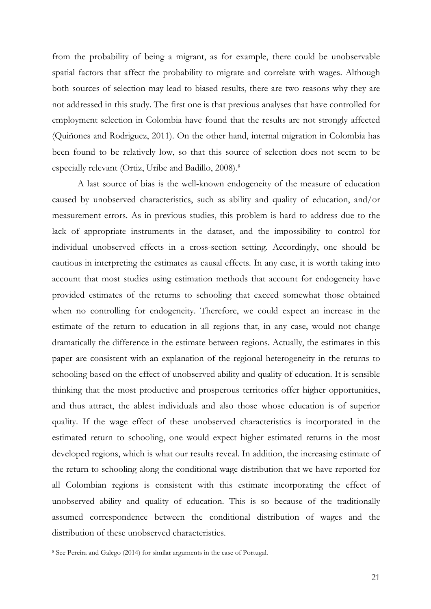from the probability of being a migrant, as for example, there could be unobservable spatial factors that affect the probability to migrate and correlate with wages. Although both sources of selection may lead to biased results, there are two reasons why they are not addressed in this study. The first one is that previous analyses that have controlled for employment selection in Colombia have found that the results are not strongly affected (Quiñones and Rodriguez, 2011). On the other hand, internal migration in Colombia has been found to be relatively low, so that this source of selection does not seem to be especially relevant (Ortiz, Uribe and Badillo, 2008). 8

A last source of bias is the well-known endogeneity of the measure of education caused by unobserved characteristics, such as ability and quality of education, and/or measurement errors. As in previous studies, this problem is hard to address due to the lack of appropriate instruments in the dataset, and the impossibility to control for individual unobserved effects in a cross-section setting. Accordingly, one should be cautious in interpreting the estimates as causal effects. In any case, it is worth taking into account that most studies using estimation methods that account for endogeneity have provided estimates of the returns to schooling that exceed somewhat those obtained when no controlling for endogeneity. Therefore, we could expect an increase in the estimate of the return to education in all regions that, in any case, would not change dramatically the difference in the estimate between regions. Actually, the estimates in this paper are consistent with an explanation of the regional heterogeneity in the returns to schooling based on the effect of unobserved ability and quality of education. It is sensible thinking that the most productive and prosperous territories offer higher opportunities, and thus attract, the ablest individuals and also those whose education is of superior quality. If the wage effect of these unobserved characteristics is incorporated in the estimated return to schooling, one would expect higher estimated returns in the most developed regions, which is what our results reveal. In addition, the increasing estimate of the return to schooling along the conditional wage distribution that we have reported for all Colombian regions is consistent with this estimate incorporating the effect of unobserved ability and quality of education. This is so because of the traditionally assumed correspondence between the conditional distribution of wages and the distribution of these unobserved characteristics.

<sup>8</sup> See Pereira and Galego (2014) for similar arguments in the case of Portugal.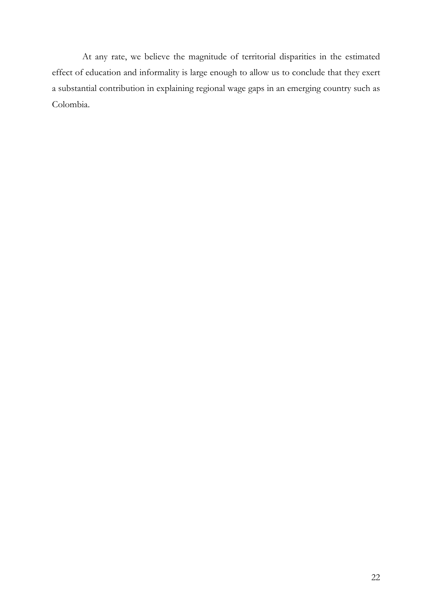At any rate, we believe the magnitude of territorial disparities in the estimated effect of education and informality is large enough to allow us to conclude that they exert a substantial contribution in explaining regional wage gaps in an emerging country such as Colombia.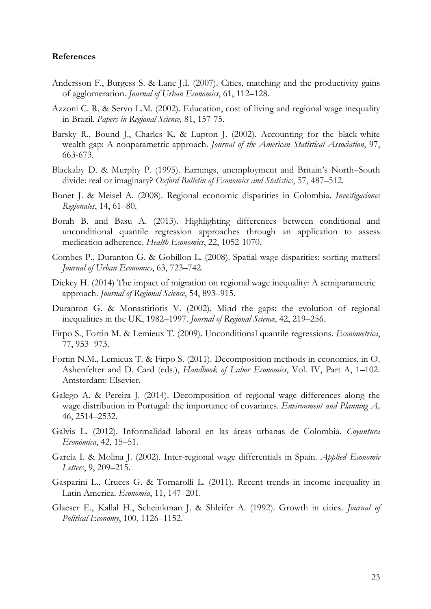#### **References**

- Andersson F., Burgess S. & Lane J.I. (2007). Cities, matching and the productivity gains of agglomeration. *Journal of Urban Economics*, 61, 112–128.
- Azzoni C. R. & Servo L.M. (2002). Education, cost of living and regional wage inequality in Brazil. *Papers in Regional Science,* 81, 157-75.
- Barsky R., Bound J., Charles K. & Lupton J. (2002). Accounting for the black-white wealth gap: A nonparametric approach. *Journal of the American Statistical Association*, 97, 663-673.
- Blackaby D. & Murphy P. (1995). Earnings, unemployment and Britain's North–South divide: real or imaginary? *Oxford Bulletin of Economics and Statistics*, 57, 487–512.
- Bonet J. & Meisel A. (2008). Regional economic disparities in Colombia. *Investigaciones Regionales*, 14, 61–80.
- Borah B. and Basu A. (2013). Highlighting differences between conditional and unconditional quantile regression approaches through an application to assess medication adherence. *Health Economics*, 22, 1052-1070.
- Combes P., Duranton G. & Gobillon L. (2008). Spatial wage disparities: sorting matters! *Journal of Urban Economics*, 63, 723–742.
- Dickey H. (2014) The impact of migration on regional wage inequality: A semiparametric approach. *Journal of Regional Science*, 54, 893–915.
- Duranton G. & Monastiriotis V. (2002). Mind the gaps: the evolution of regional inequalities in the UK, 1982–1997. *Journal of Regional Science*, 42, 219–256.
- Firpo S., Fortin M. & Lemieux T. (2009). Unconditional quantile regressions. *Econometrica*, 77, 953- 973.
- Fortin N.M., Lemieux T. & Firpo S. (2011). Decomposition methods in economics, in O. Ashenfelter and D. Card (eds.), *Handbook of Labor Economics*, Vol. IV, Part A, 1–102. Amsterdam: Elsevier.
- Galego A. & Pereira J. (2014). Decomposition of regional wage differences along the wage distribution in Portugal: the importance of covariates. *Environment and Planning A,*  46, 2514–2532.
- Galvis L. (2012). Informalidad laboral en las áreas urbanas de Colombia. *Coyuntura Económica*, 42, 15–51.
- García I. & Molina J. (2002). Inter-regional wage differentials in Spain. *Applied Economic Letters*, 9, 209–215.
- Gasparini L., Cruces G. & Tornarolli L. (2011). Recent trends in income inequality in Latin America. *Economía*, 11, 147–201.
- Glaeser E., Kallal H., Scheinkman J. & Shleifer A. (1992). Growth in cities. *Journal of Political Economy*, 100, 1126–1152.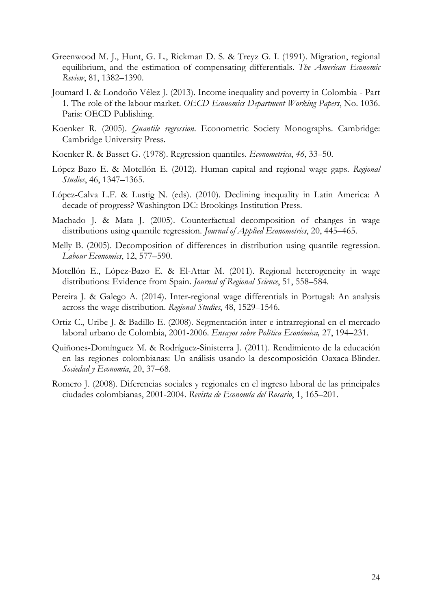- Greenwood M. J., Hunt, G. L., Rickman D. S. & Treyz G. I. (1991). Migration, regional equilibrium, and the estimation of compensating differentials. *The American Economic Review*, 81, 1382–1390.
- Joumard I. & Londoño Vélez J. (2013). Income inequality and poverty in Colombia Part 1. The role of the labour market. *OECD Economics Department Working Papers*, No. 1036. Paris: OECD Publishing.
- Koenker R. (2005). *Quantile regression*. Econometric Society Monographs. Cambridge: Cambridge University Press.
- Koenker R. & Basset G. (1978). Regression quantiles. *Econometrica*, *46*, 33–50.
- López-Bazo E. & Motellón E. (2012). Human capital and regional wage gaps. *Regional Studies*, 46, 1347–1365.
- López-Calva L.F. & Lustig N. (eds). (2010). Declining inequality in Latin America: A decade of progress? Washington DC: Brookings Institution Press.
- Machado J. & Mata J. (2005). Counterfactual decomposition of changes in wage distributions using quantile regression. *Journal of Applied Econometrics*, 20, 445–465.
- Melly B. (2005). Decomposition of differences in distribution using quantile regression. *Labour Economics*, 12, 577–590.
- Motellón E., López-Bazo E. & El-Attar M. (2011). Regional heterogeneity in wage distributions: Evidence from Spain. *Journal of Regional Science*, 51, 558–584.
- Pereira J. & Galego A. (2014). Inter-regional wage differentials in Portugal: An analysis across the wage distribution. *Regional Studies*, 48, 1529–1546.
- Ortiz C., Uribe J. & Badillo E. (2008). Segmentación inter e intrarregional en el mercado laboral urbano de Colombia, 2001-2006. *Ensayos sobre Política Económica,* 27, 194–231.
- Quiñones-Domínguez M. & Rodríguez-Sinisterra J. (2011). Rendimiento de la educación en las regiones colombianas: Un análisis usando la descomposición Oaxaca-Blinder. *Sociedad y Economía*, 20, 37–68.
- Romero J. (2008). Diferencias sociales y regionales en el ingreso laboral de las principales ciudades colombianas, 2001-2004. *Revista de Economía del Rosario*, 1, 165–201.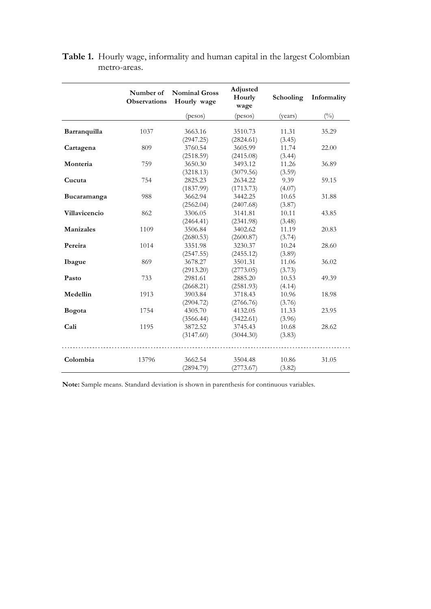|                  | Number of<br><b>Observations</b> | <b>Nominal Gross</b><br>Hourly wage | Adjusted<br>Hourly<br>wage | Schooling       | Informality   |
|------------------|----------------------------------|-------------------------------------|----------------------------|-----------------|---------------|
|                  |                                  | (pesos)                             | <i>(pesos)</i>             | (years)         | $(^{0}/_{0})$ |
| Barranquilla     | 1037                             | 3663.16<br>(2947.25)                | 3510.73<br>(2824.61)       | 11.31<br>(3.45) | 35.29         |
| Cartagena        | 809                              | 3760.54<br>(2518.59)                | 3605.99<br>(2415.08)       | 11.74<br>(3.44) | 22.00         |
| Monteria         | 759                              | 3650.30<br>(3218.13)                | 3493.12<br>(3079.56)       | 11.26<br>(3.59) | 36.89         |
| Cucuta           | 754                              | 2825.23<br>(1837.99)                | 2634.22<br>(1713.73)       | 9.39<br>(4.07)  | 59.15         |
| Bucaramanga      | 988                              | 3662.94<br>(2562.04)                | 3442.25<br>(2407.68)       | 10.65<br>(3.87) | 31.88         |
| Villavicencio    | 862                              | 3306.05<br>(2464.41)                | 3141.81<br>(2341.98)       | 10.11<br>(3.48) | 43.85         |
| <b>Manizales</b> | 1109                             | 3506.84<br>(2680.53)                | 3402.62<br>(2600.87)       | 11.19<br>(3.74) | 20.83         |
| Pereira          | 1014                             | 3351.98<br>(2547.55)                | 3230.37<br>(2455.12)       | 10.24<br>(3.89) | 28.60         |
| Ibague           | 869                              | 3678.27<br>(2913.20)                | 3501.31<br>(2773.05)       | 11.06<br>(3.73) | 36.02         |
| Pasto            | 733                              | 2981.61<br>(2668.21)                | 2885.20<br>(2581.93)       | 10.53<br>(4.14) | 49.39         |
| Medellin         | 1913                             | 3903.84<br>(2904.72)                | 3718.43<br>(2766.76)       | 10.96<br>(3.76) | 18.98         |
| Bogota           | 1754                             | 4305.70<br>(3566.44)                | 4132.05<br>(3422.61)       | 11.33<br>(3.96) | 23.95         |
| Cali             | 1195                             | 3872.52<br>(3147.60)                | 3745.43<br>(3044.30)       | 10.68<br>(3.83) | 28.62         |
| Colombia         | 13796                            | 3662.54<br>(2894.79)                | 3504.48<br>(2773.67)       | 10.86<br>(3.82) | 31.05         |

**Table 1.** Hourly wage, informality and human capital in the largest Colombian metro-areas.

**Note:** Sample means. Standard deviation is shown in parenthesis for continuous variables.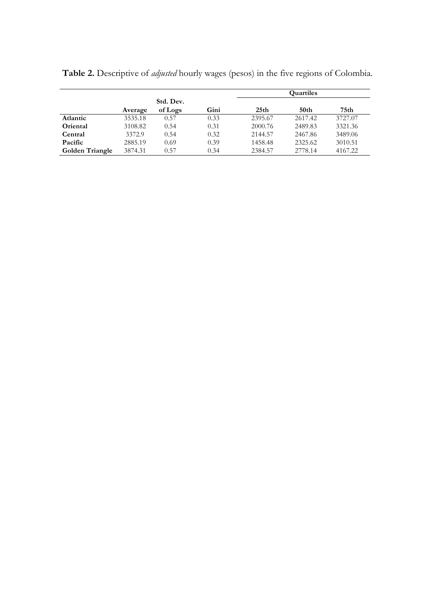|                        |         |           |      | <b>Quartiles</b> |         |         |  |  |  |  |  |  |
|------------------------|---------|-----------|------|------------------|---------|---------|--|--|--|--|--|--|
|                        |         | Std. Dev. |      |                  |         |         |  |  |  |  |  |  |
|                        | Average | of Logs   | Gini | 25 <sub>th</sub> | 50th    | 75th    |  |  |  |  |  |  |
| Atlantic               | 3535.18 | 0.57      | 0.33 | 2395.67          | 2617.42 | 3727.07 |  |  |  |  |  |  |
| Oriental               | 3108.82 | 0.54      | 0.31 | 2000.76          | 2489.83 | 3321.36 |  |  |  |  |  |  |
| Central                | 3372.9  | 0.54      | 0.32 | 2144.57          | 2467.86 | 3489.06 |  |  |  |  |  |  |
| Pacific                | 2885.19 | 0.69      | 0.39 | 1458.48          | 2325.62 | 3010.51 |  |  |  |  |  |  |
| <b>Golden Triangle</b> | 3874.31 | 0.57      | 0.34 | 2384.57          | 2778.14 | 4167.22 |  |  |  |  |  |  |

**Table 2.** Descriptive of *adjusted* hourly wages (pesos) in the five regions of Colombia.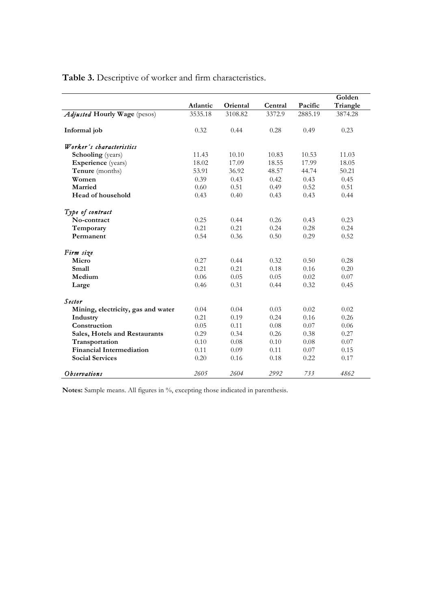**Table 3.** Descriptive of worker and firm characteristics.

|                                      |          |          |         |         | Golden   |
|--------------------------------------|----------|----------|---------|---------|----------|
|                                      | Atlantic | Oriental | Central | Pacific | Triangle |
| Adjusted Hourly Wage (pesos)         | 3535.18  | 3108.82  | 3372.9  | 2885.19 | 3874.28  |
| Informal job                         | 0.32     | 0.44     | 0.28    | 0.49    | 0.23     |
| Worker's characteristics             |          |          |         |         |          |
| <b>Schooling</b> (years)             | 11.43    | 10.10    | 10.83   | 10.53   | 11.03    |
| <b>Experience</b> (years)            | 18.02    | 17.09    | 18.55   | 17.99   | 18.05    |
| Tenure (months)                      | 53.91    | 36.92    | 48.57   | 44.74   | 50.21    |
| Women                                | 0.39     | 0.43     | 0.42    | 0.43    | 0.45     |
| Married                              | 0.60     | 0.51     | 0.49    | 0.52    | 0.51     |
| Head of household                    | 0.43     | 0.40     | 0.43    | 0.43    | 0.44     |
| Type of contract                     |          |          |         |         |          |
| No-contract                          | 0.25     | 0.44     | 0.26    | 0.43    | 0.23     |
| Temporary                            | 0.21     | 0.21     | 0.24    | 0.28    | 0.24     |
| Permanent                            | 0.54     | 0.36     | 0.50    | 0.29    | 0.52     |
| Firm size                            |          |          |         |         |          |
| Micro                                | 0.27     | 0.44     | 0.32    | 0.50    | 0.28     |
| Small                                | 0.21     | 0.21     | 0.18    | 0.16    | 0.20     |
| Medium                               | 0.06     | 0.05     | 0.05    | 0.02    | 0.07     |
| Large                                | 0.46     | 0.31     | 0.44    | 0.32    | 0.45     |
| Sector                               |          |          |         |         |          |
| Mining, electricity, gas and water   | 0.04     | 0.04     | 0.03    | 0.02    | 0.02     |
| Industry                             | 0.21     | 0.19     | 0.24    | 0.16    | 0.26     |
| Construction                         | 0.05     | 0.11     | 0.08    | 0.07    | 0.06     |
| <b>Sales, Hotels and Restaurants</b> | 0.29     | 0.34     | 0.26    | 0.38    | 0.27     |
| Transportation                       | 0.10     | 0.08     | 0.10    | 0.08    | 0.07     |
| <b>Financial Intermediation</b>      | 0.11     | 0.09     | 0.11    | 0.07    | 0.15     |
| <b>Social Services</b>               | 0.20     | 0.16     | 0.18    | 0.22    | 0.17     |
| <i>Observations</i>                  | 2605     | 2604     | 2992    | 733     | 4862     |

**Notes:** Sample means. All figures in %, excepting those indicated in parenthesis.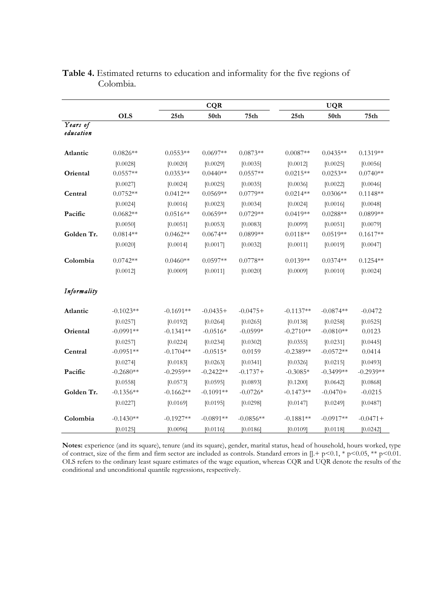|                       |             |                  | <b>CQR</b>  |                  |             | <b>UQR</b>  |                  |
|-----------------------|-------------|------------------|-------------|------------------|-------------|-------------|------------------|
|                       | <b>OLS</b>  | 25 <sub>th</sub> | 50th        | 75 <sub>th</sub> | 25th        | 50th        | 75 <sub>th</sub> |
| Years of<br>education |             |                  |             |                  |             |             |                  |
| Atlantic              | $0.0826**$  | $0.0553**$       | $0.0697**$  | $0.0873**$       | $0.0087**$  | $0.0435**$  | $0.1319**$       |
|                       | [0.0028]    | [0.0020]         | [0.0029]    | [0.0035]         | [0.0012]    | [0.0025]    | [0.0056]         |
| Oriental              | $0.0557**$  | $0.0353**$       | $0.0440**$  | $0.0557**$       | $0.0215**$  | $0.0253**$  | $0.0740**$       |
|                       | [0.0027]    | [0.0024]         | [0.0025]    | [0.0035]         | [0.0036]    | [0.0022]    | [0.0046]         |
| Central               | $0.0752**$  | $0.0412**$       | $0.0569**$  | $0.0779**$       | $0.0214**$  | $0.0306**$  | $0.1148**$       |
|                       | [0.0024]    | [0.0016]         | [0.0023]    | [0.0034]         | [0.0024]    | [0.0016]    | [0.0048]         |
| Pacific               | $0.0682**$  | $0.0516**$       | $0.0659**$  | $0.0729**$       | $0.0419**$  | $0.0288**$  | $0.0899**$       |
|                       | [0.0050]    | [0.0051]         | [0.0053]    | [0.0083]         | [0.0099]    | [0.0051]    | [0.0079]         |
| Golden Tr.            | $0.0814**$  | $0.0462**$       | $0.0674**$  | $0.0899**$       | $0.0118**$  | $0.0519**$  | $0.1617**$       |
|                       | [0.0020]    | [0.0014]         | [0.0017]    | [0.0032]         | [0.0011]    | [0.0019]    | [0.0047]         |
| Colombia              | $0.0742**$  | $0.0460**$       | $0.0597**$  | $0.0778**$       | $0.0139**$  | $0.0374**$  | $0.1254**$       |
|                       | [0.0012]    | [0.0009]         | [0.0011]    | [0.0020]         | [0.0009]    | [0.0010]    | [0.0024]         |
| Informality           |             |                  |             |                  |             |             |                  |
| Atlantic              | $-0.1023**$ | $-0.1691**$      | $-0.0435+$  | $-0.0475+$       | $-0.1137**$ | $-0.0874**$ | $-0.0472$        |
|                       | [0.0257]    | [0.0192]         | [0.0264]    | [0.0265]         | [0.0138]    | [0.0258]    | [0.0525]         |
| Oriental              | $-0.0991**$ | $-0.1341**$      | $-0.0516*$  | $-0.0599*$       | $-0.2710**$ | $-0.0810**$ | 0.0123           |
|                       | [0.0257]    | [0.0224]         | [0.0234]    | [0.0302]         | [0.0355]    | [0.0231]    | [0.0445]         |
| Central               | $-0.0951**$ | $-0.1704**$      | $-0.0515*$  | 0.0159           | $-0.2389**$ | $-0.0572**$ | 0.0414           |
|                       | [0.0274]    | [0.0183]         | [0.0263]    | [0.0341]         | [0.0326]    | [0.0215]    | [0.0493]         |
| Pacific               | $-0.2680**$ | $-0.2959**$      | $-0.2422**$ | $-0.1737+$       | $-0.3085*$  | $-0.3499**$ | $-0.2939**$      |
|                       | [0.0558]    | [0.0573]         | [0.0595]    | [0.0893]         | [0.1200]    | [0.0642]    | [0.0868]         |
| Golden Tr.            | $-0.1356**$ | $-0.1662**$      | $-0.1091**$ | $-0.0726*$       | $-0.1473**$ | $-0.0470+$  | $-0.0215$        |
|                       | [0.0227]    | [0.0169]         | [0.0195]    | [0.0298]         | [0.0147]    | [0.0249]    | [0.0487]         |
| Colombia              | $-0.1430**$ | $-0.1927**$      | $-0.0891**$ | $-0.0856**$      | $-0.1881**$ | $-0.0917**$ | $-0.0471+$       |
|                       | [0.0125]    | [0.0096]         | [0.0116]    | [0.0186]         | [0.0109]    | [0.0118]    | [0.0242]         |

# **Table 4.** Estimated returns to education and informality for the five regions of Colombia.

**Notes:** experience (and its square), tenure (and its square), gender, marital status, head of household, hours worked, type of contract, size of the firm and firm sector are included as controls. Standard errors in  $[] + p \le 0.1, * p \le 0.05, ** p \le 0.01$ . OLS refers to the ordinary least square estimates of the wage equation, whereas CQR and UQR denote the results of the conditional and unconditional quantile regressions, respectively.